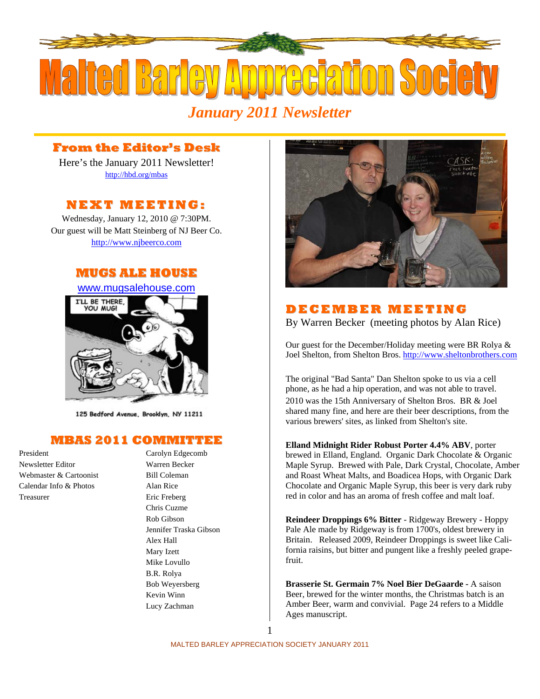

## **From the Editor's Desk**

Here's the January 2011 Newsletter! <http://hbd.org/mbas>

## **NEXT MEETI NG:**

Wednesday, January 12, 2010 @ 7:30PM. Our guest will be Matt Steinberg of NJ Beer Co. [http://www.njbeerco.com](http://www.njbeerco.com/)

#### **MUGS ALE HOUSE**



125 Bedford Avenue, Brooklyn, NY 11211

#### **MBAS 2011 COMMITTEE**

President Carolyn Edgecomb Newsletter Editor Warren Becker Webmaster & Cartoonist Bill Coleman Calendar Info & Photos Alan Rice Treasurer Eric Freberg

Chris Cuzme Rob Gibson Jennifer Traska Gibson Alex Hall Mary Izett Mike Lovullo B.R. Rolya Bob Weyersberg Kevin Winn Lucy Zachman



### **DE C EMBE R MEETI NG** By Warren Becker (meeting photos by Alan Rice)

Our guest for the December/Holiday meeting were BR Rolya & Joel Shelton, from Shelton Bros. [http://www.sheltonbrothers.com](http://www.sheltonbrothers.com/)

The original "Bad Santa" Dan Shelton spoke to us via a cell phone, as he had a hip operation, and was not able to travel. 2010 was the 15th Anniversary of Shelton Bros. BR & Joel shared many fine, and here are their beer descriptions, from the various brewers' sites, as linked from Shelton's site.

**Elland Midnight Rider Robust Porter 4.4% ABV**, porter brewed in Elland, England. Organic Dark Chocolate & Organic Maple Syrup. Brewed with Pale, Dark Crystal, Chocolate, Amber and Roast Wheat Malts, and Boadicea Hops, with Organic Dark Chocolate and Organic Maple Syrup, this beer is very dark ruby red in color and has an aroma of fresh coffee and malt loaf.

**Reindeer Droppings 6% Bitter** - Ridgeway Brewery - Hoppy Pale Ale made by Ridgeway is from 1700's, oldest brewery in Britain. Released 2009, Reindeer Droppings is sweet like California raisins, but bitter and pungent like a freshly peeled grapefruit.

**Brasserie St. Germain 7% Noel Bier DeGaarde -** A saison Beer, brewed for the winter months, the Christmas batch is an Amber Beer, warm and convivial. Page 24 refers to a Middle Ages manuscript.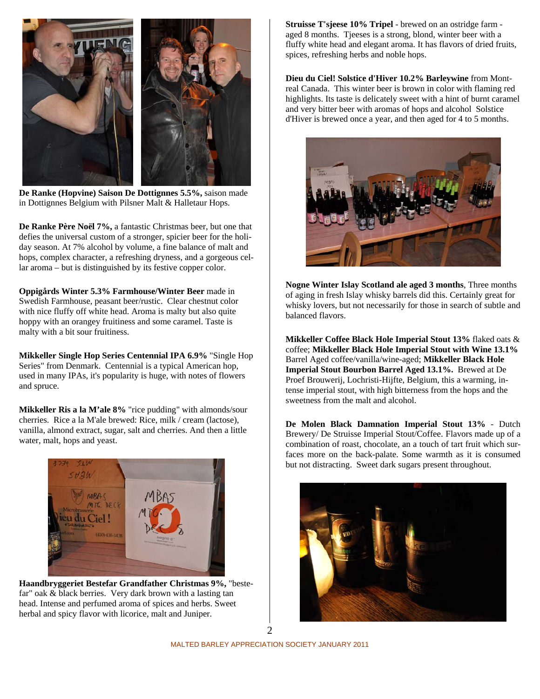

**De Ranke (Hopvine) Saison De Dottignnes 5.5%,** saison made in Dottignnes Belgium with Pilsner Malt & Halletaur Hops.

**De Ranke Père Noël 7%,** a fantastic Christmas beer, but one that defies the universal custom of a stronger, spicier beer for the holiday season. At 7% alcohol by volume, a fine balance of malt and hops, complex character, a refreshing dryness, and a gorgeous cellar aroma – but is distinguished by its festive copper color.

**Oppigårds Winter 5.3% Farmhouse/Winter Beer** made in Swedish Farmhouse, peasant beer/rustic. Clear chestnut color with nice fluffy off white head. Aroma is malty but also quite hoppy with an orangey fruitiness and some caramel. Taste is malty with a bit sour fruitiness.

**Mikkeller Single Hop Series Centennial IPA 6.9%** "Single Hop Series" from Denmark. Centennial is a typical American hop, used in many IPAs, it's popularity is huge, with notes of flowers and spruce.

**Mikkeller Ris a la M'ale 8%** "rice pudding" with almonds/sour cherries. Rice a la M'ale brewed: Rice, milk / cream (lactose), vanilla, almond extract, sugar, salt and cherries. And then a little water, malt, hops and yeast.



**Haandbryggeriet Bestefar Grandfather Christmas 9%,** "bestefar" oak & black berries. Very dark brown with a lasting tan head. Intense and perfumed aroma of spices and herbs. Sweet herbal and spicy flavor with licorice, malt and Juniper.

**Struisse T'sjeese 10% Tripel** - brewed on an ostridge farm aged 8 months. Tjeeses is a strong, blond, winter beer with a fluffy white head and elegant aroma. It has flavors of dried fruits, spices, refreshing herbs and noble hops.

**Dieu du Ciel! Solstice d'Hiver 10.2% Barleywine** from Montreal Canada. This winter beer is brown in color with flaming red highlights. Its taste is delicately sweet with a hint of burnt caramel and very bitter beer with aromas of hops and alcohol Solstice d'Hiver is brewed once a year, and then aged for 4 to 5 months.



**Nogne Winter Islay Scotland ale aged 3 months**, Three months of aging in fresh Islay whisky barrels did this. Certainly great for whisky lovers, but not necessarily for those in search of subtle and balanced flavors.

**Mikkeller Coffee Black Hole Imperial Stout 13%** flaked oats & coffee; **Mikkeller Black Hole Imperial Stout with Wine 13.1%** Barrel Aged coffee/vanilla/wine-aged; **Mikkeller Black Hole Imperial Stout Bourbon Barrel Aged 13.1%.** Brewed at De Proef Brouwerij, Lochristi-Hijfte, Belgium, this a warming, intense imperial stout, with high bitterness from the hops and the sweetness from the malt and alcohol.

**De Molen Black Damnation Imperial Stout 13%** - Dutch Brewery/ De Struisse Imperial Stout/Coffee. Flavors made up of a combination of roast, chocolate, an a touch of tart fruit which surfaces more on the back-palate. Some warmth as it is consumed but not distracting. Sweet dark sugars present throughout.

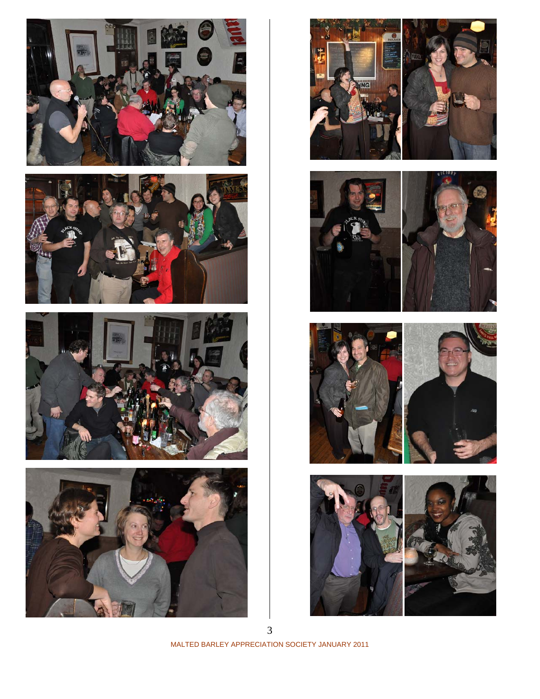



















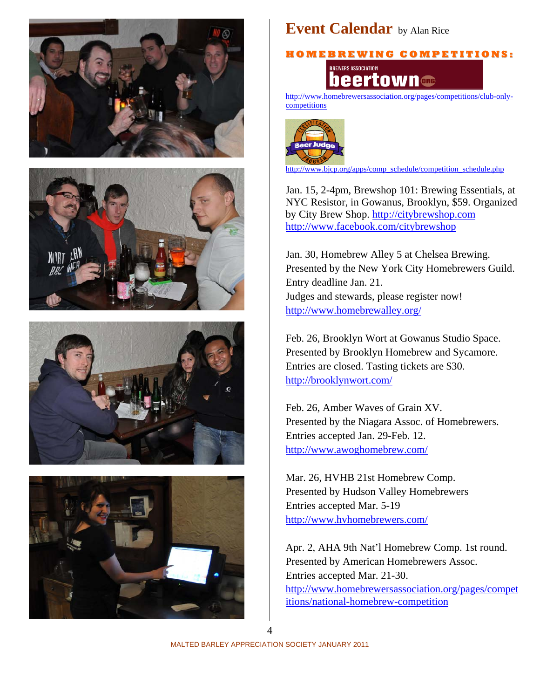







# **Event Calendar** by Alan Rice

**H O M E B R E WI N G C O M P E TI TI O N S:**



[http://www.homebrewersassociation.org/pages/competitions/club-only](http://www.homebrewersassociation.org/pages/competitions/club-only-competitions)[competitions](http://www.homebrewersassociation.org/pages/competitions/club-only-competitions)



http://www.bjcp.org/apps/comp\_schedule/competition\_schedule.php

Jan. 15, 2-4pm, Brewshop 101: Brewing Essentials, at NYC Resistor, in Gowanus, Brooklyn, \$59. Organized by City Brew Shop. [http://citybrewshop.com](http://citybrewshop.com/) <http://www.facebook.com/citybrewshop>

Jan. 30, Homebrew Alley 5 at Chelsea Brewing. Presented by the New York City Homebrewers Guild. Entry deadline Jan. 21. Judges and stewards, please register now! <http://www.homebrewalley.org/>

Feb. 26, Brooklyn Wort at Gowanus Studio Space. Presented by Brooklyn Homebrew and Sycamore. Entries are closed. Tasting tickets are \$30. <http://brooklynwort.com/>

Feb. 26, Amber Waves of Grain XV. Presented by the Niagara Assoc. of Homebrewers. Entries accepted Jan. 29-Feb. 12. <http://www.awoghomebrew.com/>

Mar. 26, HVHB 21st Homebrew Comp. Presented by Hudson Valley Homebrewers Entries accepted Mar. 5-19 <http://www.hvhomebrewers.com/>

Apr. 2, AHA 9th Nat'l Homebrew Comp. 1st round. Presented by American Homebrewers Assoc. Entries accepted Mar. 21-30. [http://www.homebrewersassociation.org/pages/compet](http://www.homebrewersassociation.org/pages/competitions/national-homebrew-competition) [itions/national-homebrew-competition](http://www.homebrewersassociation.org/pages/competitions/national-homebrew-competition)

MALTED BARLEY APPRECIATION SOCIETY JANUARY 2011